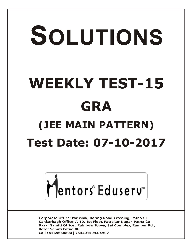# SOLUTIONS **WEEKLY TEST-15 GRA (JEE MAIN PATTERN) Test Date: 07-10-2017**



**Corporate Office: Paruslok, Boring Road Crossing, Patna-01** Kankarbagh Office: A-10, 1st Floor, Patrakar Nagar, Patna-20 Bazar Samiti Office: Rainbow Tower, Sai Complex, Rampur Rd., **Bazar Samiti Patna-06** Call: 9569668800 | 7544015993/4/6/7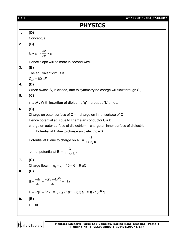| $\begin{bmatrix} 2 \end{bmatrix}$ | WT-15 (MAIN) GRA_07.10.2017                                                       |
|-----------------------------------|-----------------------------------------------------------------------------------|
|                                   | <b>PHYSICS</b>                                                                    |
| 1.                                | (D)                                                                               |
|                                   | Conceptual.                                                                       |
| 2.                                | (B)                                                                               |
|                                   | $E \propto \rho \Rightarrow \frac{\partial V}{\partial x} \propto \rho$           |
|                                   | Hence slope will be more in second wire.                                          |
| 3.                                | (B)                                                                               |
|                                   | The equivalent circuit is                                                         |
|                                   | $C_{AB}$ = 60 µF.                                                                 |
| 4.                                | (D)                                                                               |
|                                   | When switch $S_2$ is closed, due to symmetry no charge will flow through $S_2$ .  |
| 5.                                | (C)                                                                               |
|                                   | $F \propto q^2$ . With insertion of dielectric 'q' increases 'k' times.           |
| 6.                                | (C)                                                                               |
|                                   | Charge on outer surface of $C = -$ charge on inner surface of C                   |
|                                   | Hence potential at B due to charge an conductor $C = 0$                           |
|                                   | charge on outer surface of dielectric $= -$ charge an inner surface of dielectric |
|                                   | Potential at B due to charge an dielectric $= 0$<br>$\therefore$                  |
|                                   | Potential at B due to charge on A = $\frac{Q}{4\pi \epsilon_0 b}$                 |
|                                   | ∴ net potential at B = $\frac{Q}{4\pi \epsilon_0 b}$ .                            |
| 7.                                | (C)                                                                               |
|                                   | Charge flown = $q_f - q_i = 15 - 6 = 9 \mu C$ .                                   |
| 8.                                | (D)                                                                               |
|                                   | $E=\frac{-dv}{dx}=\frac{-d(5+4x^2)}{dx}=-8x$                                      |
|                                   | $F = -qE = 8qx = 8 \times 2 \times 10^{-6} \times 0.5 N = 8 \times 10^{-6} N$ .   |
| 9.                                | (B)                                                                               |
|                                   | $E = 6t$                                                                          |
|                                   |                                                                                   |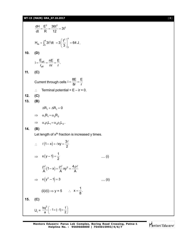## **WT-15 (MAIN) GRA\_07.10.2017** [ **3** ]

$$
\frac{dH}{dt} = \frac{E^2}{R} = \frac{36t^2}{12} = 3t^2
$$
\n
$$
H_{\text{lib}} = \int_0^4 3t^2 dt = 3\left(\frac{t^3}{3}\right)_0^4 = 64 \text{ J}.
$$
\n10. **(D)**  
\n
$$
i = \frac{E_{\text{eff}}}{r_{\text{eff}}} = \frac{nE}{nr} = \frac{E}{r}.
$$
\n11. **(C)**  
\nCurrent through cells  $i = \frac{8E}{8r} = \frac{E}{r}$   
\n∴ Terminal potential  $= E - ir = 0$ .  
\n12. **(C)**  
\n13. **(B)**  
\n $\Delta R_1 + \Delta R_1 = 0$   
\n $\Rightarrow \alpha_1 R_1 = \alpha_2 R_2$   
\n $\Rightarrow \alpha_1 P_1 L_1 = \alpha_2 p_2 L_2.$   
\n14. **(B)**  
\nLet length of x<sup>th</sup> fraction is increased y times.  
\n∴  $\ell(1-x) + \ell xy = \frac{3\ell}{2}$   
\n $\Rightarrow x(y-1) = \frac{1}{2}$  .... (i)  
\n $\frac{\rho \ell}{A}(1-x) + \frac{\rho \ell}{A} xy^2 = \frac{4\rho \ell}{A}$   
\n $\Rightarrow x(y^2 - 1) = 3$  .... (ii)  
\n(ii)/(i)  $\Rightarrow y = 5$  ∴  $x = \frac{1}{8}$ .  
\n15. **(C)**  
\n $U_i = \frac{kq^2}{a} \left(-1 + (-1) + \frac{1}{2}\right)$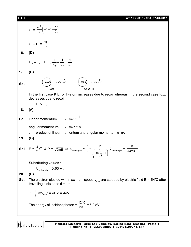[ **4** ] **WT-15 (MAIN) GRA\_07.10.2017**  $kq^2$  $\frac{q^2}{a} \left(-1+1-\frac{1}{2}\right)$  $\left(-1+1-\frac{1}{2}\right)$  $\left(-1+1-\frac{1}{2}\right)$  $U_f = \frac{dU}{a} \left( -1 + 1 - \frac{1}{2} \right)$  $\setminus$  $\frac{kq^2}{q}$ .  $U_f - U_i = \frac{dq}{a}$ **16. (D)**  $E_3 + E_2 = E_1 \Rightarrow \frac{1}{2} + \frac{1}{2} = \frac{1}{2}$ .  $3 + -2 - -1$  $\lambda_3$   $\lambda_2$   $\lambda_1$ 3  $^{1/2}$   $^{1/1}$ **17. (B)** →(H-atom) **Sol.** Case - J Case - II In the first case K.E. of H-atom increases due to recoil whereas in the second case K.E. decreases due to recoil.  $\therefore$  E<sub>2</sub> > E<sub>1</sub>. **18. (A)** 1 **Sol.** Linear momentum  $\Rightarrow$  mv  $\alpha \frac{1}{n}$ angular momentum  $\Rightarrow$  mvr  $\alpha$  n  $\therefore$  product of linear momentum and angular momentum  $\alpha$  n<sup>o</sup>. **19. (B)** h h h  $\frac{3}{2}$ kT & P =  $\sqrt{2mE}$   $\Rightarrow \lambda_{\text{de-broglie}}$  =  $=$ **Sol.**  $E = \frac{3}{2}kT$  $\lambda_{\text{de-broglie}} = \sqrt{3mkT}$ p  $2m\left(\frac{3}{2}\right)$  $\left(\frac{3}{2}kT\right)$ ſ  $\frac{5}{2}$ kT  $\overline{1}$  $\overline{\phantom{0}}$  $\bigg)$ Substituting values :  $\lambda_{\text{de-broglie}} = 0.63 \text{ Å}.$ **20. (D) Sol.** The electron ejected with maximum speed  $\bm{{\mathsf{v}}}_{\textsf{max}}$  are stopped by electric field E = 4N/C after travelling a distance  $d = 1m$  $\therefore$   $\frac{1}{2}$  mV<sub>max</sub><sup>2</sup> = eE d = 4eV The energy of incident photon =  $\frac{1240}{200}$  = 6.2 eV

Mentors Eduserv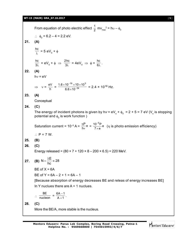#### **WT-15 (MAIN) GRA\_07.10.2017** [ **5** ]

From equation of photo electric effect  $\frac{1}{2}$  mv<sub>max</sub><sup>2</sup> = h $\upsilon - \phi_0$ ∴  $\phi_0 = 6.2 - 4 = 2.2 \text{ eV}.$ **21. (A)** λ  $\frac{hc}{\lambda}$  = 5 eV<sub>0</sub> +  $\phi$  $3\lambda$  $\frac{hc}{3\lambda} = eV_0 + \phi \implies \frac{2hc}{3\lambda} = 4eV_0 \implies \phi = \frac{hc}{6\lambda}.$ **22. (A)**  $hv = eV$  $\Rightarrow y = \frac{eV}{h} = \frac{1.6 \times 10^{-19} \times 10}{6.6 \times 10^{-34}}$  $19.310 \times 10^{3}$  $6.6 \times 10$  $1.6 \times 10^{-19} \times 10 \times 10$ -- $\times$  $\frac{\times 10^{-19} \times 10 \times 10^3}{6.6 \times 10^{-34}}$  = 2.4 × 10<sup>18</sup> Hz. **23. (A) Conceptual 24. (C)** The energy of incident photons is given by h*v* = eV<sub>s</sub> +  $\phi_{\rm o}$  = 2 + 5 = 7 eV (V<sub>s</sub> is stopping potential and  $\scriptstyle\phi_{\rm o}$  is work function ) Saturation current = 10<sup>-5</sup> A =  $\frac{P}{hv}$ e P  $\mathsf{v}$  $\frac{\eta P}{hv}$ e =  $\frac{10^{-5}P}{7 \times e}$ e  $10^{-5}P$  $\times$ - $(\eta$  is photo emission efficiency)  $\therefore$  P = 7 W. **25. (B) 26. (C)** Energy released =  $(80 \times 7 + 120 \times 8 - 200 \times 6.5) = 220$  MeV. **27. (B)**   $N = \frac{\lambda E}{\lambda} \approx 28$ hc  $=\frac{\lambda E}{\lambda} \approx 2$  $BE$  of  $X = 6A$ BE of  $Y = 6A - 2 + 1 = 6A - 1$ [Because absorption of energy decreases BE and releas of energy increases BE] In Y nuclues there are A + 1 nuclues.  $\therefore$  nucleon  $\frac{\text{BE}}{\text{clean}} = \frac{6A - 1}{A + 1}$  $^{+}$  $\frac{-1}{4}$ . **28. (C)** More the BE/A, more stable is the nucleus.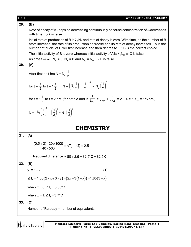| [6] | WT-15 (MAIN) GRA_07.10.2017                                                                                                                                                                                                                                                                                       |  |  |  |
|-----|-------------------------------------------------------------------------------------------------------------------------------------------------------------------------------------------------------------------------------------------------------------------------------------------------------------------|--|--|--|
| 29. | (B)                                                                                                                                                                                                                                                                                                               |  |  |  |
|     | Rate of decay of A keeps on decreasing continuously because concentration of A decreases<br>with time. $\Rightarrow$ A is false                                                                                                                                                                                   |  |  |  |
|     | Initial rate of production of B is $\lambda_1 N_0$ and rate of decay is zero. With time, as the number of B<br>atom increase, the rate of its production decrease and its rate of decay increases. Thus the<br>number of nuclei of B will first increase and then decrease. $\Rightarrow$ B is the correct choice |  |  |  |
|     | The initial activity of B is zero whereas initial activity of A is $\lambda_1 N_0 \Rightarrow C$ is false.                                                                                                                                                                                                        |  |  |  |
|     | As time $t \to \infty$ : $N_A = 0$ , $N_B = 0$ and $N_C = N_0 \Rightarrow D$ is false                                                                                                                                                                                                                             |  |  |  |
| 30. | (A)                                                                                                                                                                                                                                                                                                               |  |  |  |
|     | After first half hrs N = $N_0 \frac{1}{2}$                                                                                                                                                                                                                                                                        |  |  |  |
|     | for $t = \frac{1}{2}$ to $t = 1\frac{1}{2}$ $N = \left(N_0 \frac{1}{2}\right) \left[\frac{1}{2}\right]^4 = N_0 \left(\frac{1}{2}\right)^3$                                                                                                                                                                        |  |  |  |
|     | for t = 1 $\frac{1}{2}$ to t = 2 hrs [for both A and B $\frac{1}{1/2}$ = $\frac{1}{1/2}$ + $\frac{1}{1/4}$ = 2 + 4 = 6 t <sub>1/2</sub> = 1/6 hrs.]                                                                                                                                                               |  |  |  |
|     | $N = N_0 \left(\frac{1}{2}\right)^5 \left(\frac{1}{2}\right)^3 = N_0 \left(\frac{1}{2}\right)^8.$                                                                                                                                                                                                                 |  |  |  |
|     | <b>CHEMISTRY</b>                                                                                                                                                                                                                                                                                                  |  |  |  |
| 31. | (A)                                                                                                                                                                                                                                                                                                               |  |  |  |
|     | $\frac{(0.5+2)\times20\times1000}{40\times500} = \Delta T_{b} + \Delta T_{f} = 2.5$                                                                                                                                                                                                                               |  |  |  |
|     | Required difference = $80 + 2.5 = 82.5^{\circ}$ C = 82.5K                                                                                                                                                                                                                                                         |  |  |  |
| 32. | (B)                                                                                                                                                                                                                                                                                                               |  |  |  |
|     | $y = 1 - x$<br>$(1)$                                                                                                                                                                                                                                                                                              |  |  |  |
|     | $\Delta T_f = 1.85(2 \times x + 3 \times y) = (2x + 3(1 - x)) = 1.85(3 - x)$                                                                                                                                                                                                                                      |  |  |  |
|     | when $x = 0$ . $\Delta T_f = 5.55^{\circ}C$                                                                                                                                                                                                                                                                       |  |  |  |
|     | when $x = 1$ . $\Delta T_f = 3.7$ °C.                                                                                                                                                                                                                                                                             |  |  |  |
| 33. | (C)                                                                                                                                                                                                                                                                                                               |  |  |  |
|     | Number of Faraday = number of equivalents                                                                                                                                                                                                                                                                         |  |  |  |
|     |                                                                                                                                                                                                                                                                                                                   |  |  |  |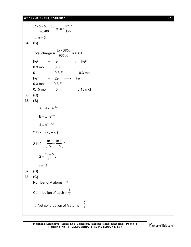### **WT-15 (MAIN) GRA\_07.10.2017** [ **7** ]

```
96500
        2 \times 5 \times 60 \times 60= n \times \frac{177}{177}n \times \frac{22.2}{177}\therefore n = 3.
34. (C)
       Total charge = \frac{ }{96500}15 \times 3860= 0.6 FFe^{3+} + e \longrightarrow Fe^{2+}0.3 mol 0.6 F
       0 0.3 F 0.3 mol
       Fe<sup>2+</sup> + 2e \longrightarrow Fe
      0.3 mol 0.3 F
      0.15 mol 0 0.15 mol
35. (C)
36. (B)
           A = 4x e^{-k_1t}B = x e^{-k_2 t}4 = e^{(k_2 - k_1)t}2 In 2 = (k_2 - k_1)t2 ln 2 = \frac{\ln 2}{5} - \frac{\ln 2}{15} t5 15
               =\left[\frac{\ln 2}{5}-\frac{\ln 2}{15}\right]t2 = \frac{15 - 5}{75}t75
              =t = 1537. (D)
38. (C)
      Number of A atoms = 7
       Contribution of each = \frac{1}{8}1
       \therefore Net contribution of A atoms = \frac{1}{8}7
```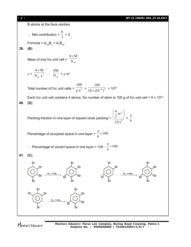

Mentors Eduserv

**Mentors Eduserv: Parus Lok Complex, Boring Road Crossing, Patna-1 Helpline No. : 9569668800 | 7544015993/4/6/7**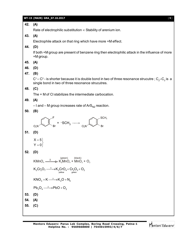|     | WT-15 (MAIN) GRA_07.10.2017<br>$[9]$                                                                                                                                             |
|-----|----------------------------------------------------------------------------------------------------------------------------------------------------------------------------------|
| 42. | (A)                                                                                                                                                                              |
|     | Rate of electrophilic substitution $\infty$ Stability of arenium ion.                                                                                                            |
| 43. | (A)                                                                                                                                                                              |
|     | Electrophile attack on that ring which have more +M effect.                                                                                                                      |
| 44. | (D)                                                                                                                                                                              |
|     | If both +M group are present of benzene ring then electrophilic attack in the influence of more<br>+M group.                                                                     |
| 45. | (A)                                                                                                                                                                              |
| 46. | (D)                                                                                                                                                                              |
| 47. | (B)                                                                                                                                                                              |
|     | $C^1 - C^2$ - is shorter because it is double bond in two of three resonance strucutre; C <sub>2</sub> -C <sub>3</sub> is a<br>single bond in two of three resonance strucutres. |
| 48. | (C)                                                                                                                                                                              |
|     | The + M of CI stabilizes the intermediate carbocation.                                                                                                                           |
| 49. | (A)                                                                                                                                                                              |
|     | $-1$ and $-$ M group increases rate of ArS <sub>N2</sub> reaction.                                                                                                               |
| 50. | (B)                                                                                                                                                                              |
|     | SCH <sub>3</sub><br>$\bigotimes_{\mathsf{Br}}^{\mathsf{F}}$ + -SCH <sub>3</sub> $\longrightarrow$ <sub>O<sub>2</sub>N</sub><br>O, N                                              |
| 51. | (D)                                                                                                                                                                              |
|     | $X = 5$                                                                                                                                                                          |
|     | $Y = 0$                                                                                                                                                                          |
| 52. | (D)                                                                                                                                                                              |
|     | (green)<br>(black)<br>$K MnO4$ $\longrightarrow$ $K_2 MnO4$ + $MnO2$ + $O2$                                                                                                      |
|     | $K_2Cr_2O_7 \xrightarrow{\Delta} K_2CrO_4 + Cr_2O_3 + O_2$<br>vellow                                                                                                             |
|     | $KNO3 + K \xrightarrow{\Delta} K2O + N2$                                                                                                                                         |
|     | $Pb_3O_4 \longrightarrow PbO + O_2$                                                                                                                                              |
| 53. | (D)                                                                                                                                                                              |
| 54. | (A)                                                                                                                                                                              |
| 55. | (C)                                                                                                                                                                              |
|     |                                                                                                                                                                                  |

Mentors Eduserv-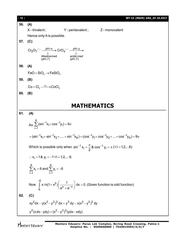| $[ 10 ]$ | WT-15 (MAIN) GRA_07.10.2017                                                                                            |  |  |
|----------|------------------------------------------------------------------------------------------------------------------------|--|--|
| 56.      | (A)                                                                                                                    |  |  |
|          | $X$ - trivalent;<br>$Y$ -pentavalent; $Z$ -monovalent                                                                  |  |  |
|          | Hence only A is possible.                                                                                              |  |  |
| 57.      | (C)                                                                                                                    |  |  |
|          | $Cr_2O_7$ <sup>--</sup> $\frac{pH=x}{\downarrow}$ $\rightarrow$ $CrO_4$ <sup>--</sup> $\frac{pH=y}{\downarrow}$        |  |  |
|          | Alkalinemed<br>acidic med                                                                                              |  |  |
|          | (pH>7)<br>(pH<7)                                                                                                       |  |  |
| 58.      | (A)                                                                                                                    |  |  |
|          | $FeO + SiO2 \rightarrow FeSiO3$                                                                                        |  |  |
| 59.      | (B)                                                                                                                    |  |  |
|          | $Co + Cl2 \xrightarrow{hv} CoCl2$                                                                                      |  |  |
| 60.      | (B)                                                                                                                    |  |  |
|          |                                                                                                                        |  |  |
|          | <b>MATHEMATICS</b>                                                                                                     |  |  |
| 61.      | (A)                                                                                                                    |  |  |
|          | As $\sum_{i=1}^{6} (\sin^{-1}x_i + \cos^{-1}y_i) = 9\pi$                                                               |  |  |
|          | $= (\sin^{-1}x_1 + \sin^{-1}x_2 + \dots + \sin^{-1}x_6) + (\cos^{-1}y_1 + \cos^{-1}y_2 + \dots + \cos^{-1}y_6) = 9\pi$ |  |  |
|          | Which is possible only when $\sin^{-1} x_i = \frac{\pi}{2}$ & $\cos^{-1} y_i = \pi$ ( $\forall i = 1, 2,  6$ )         |  |  |
|          | $\therefore$ x <sub>i</sub> = 1 & y <sub>i</sub> = -1 $\forall$ i = 1,2,6.                                             |  |  |
|          | $\sum_{i=1}^{6} x_i = 6$ and $\sum_{i=1}^{6} y_i = -6$                                                                 |  |  |
|          | Now $\int_{c}^{-\alpha} x \ln(1+x^2) \left(\frac{1}{e^x+e^{-x}}\right) dx = 0$ . (Given function is odd function)      |  |  |
| 62.      | (C)                                                                                                                    |  |  |
|          | $xy^{2}dx - y(x^{2} - y^{2})^{2} dx = y^{3} dy - x(x^{2} - y^{2})^{2} dy$                                              |  |  |
|          | $y^2$ (x dx-ydy) = $(x^2 - y^2)^2$ (ydx-xdy)                                                                           |  |  |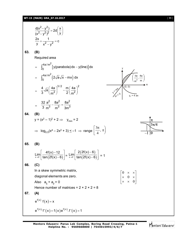#### **WT-15 (MAIN) GRA\_07.10.2017** [ **11** ]

$$
\frac{d(x^2 - y^2)}{(x^2 - y^2)^2} = 2d\left(\frac{x}{y}\right)
$$
  

$$
\frac{2x}{y} + \frac{1}{x^2 - y^2} = c
$$
  
(B)  
Required area

$$
= \int_0^{4a/m^2} \left[ y(\text{parabola}) dx - y(\text{line}) \right] dx
$$

$$
= \int_0^{4a/m^2} \left( 2\sqrt{a}\sqrt{x} - mx \right) dx
$$

$$
= \frac{4}{3}\sqrt{a} \left( \frac{4a}{m^2} \right)^{3/2} - \frac{m}{2} \left( \frac{4a}{m^2} \right)^2
$$

$$
= \frac{32}{3} \frac{a^2}{m^3} - \frac{8a^2}{m^3} = \frac{8a^2}{3m^3}
$$



 $\overline{\phantom{a}}$  $\overline{\phantom{a}}$  $\rfloor$ 

0

 $\overline{\phantom{a}}$ 

 $\times$   $\times$ 

0

64. **(B)**  
\n
$$
y = (x^2 - 1)^2 + 2 \implies y_{min} = 2
$$
  
\n $\implies \log_{0.5}(x^4 - 2x^2 + 3) \le -1 \implies \text{range } \left[\frac{3\pi}{4}, \pi\right)$ 



**65. (B)**

**63. (B)**

$$
\underset{x\to 0^-}{\text{Lim}}\left[\frac{4f(x)-12}{\tan(2f(x)-6)}\right]=\underset{x\to 0^-}{\text{Lim}}\left[\frac{2(2f(x)-6)}{\tan(2f(x)-6)}\right]=1
$$

**66. (C)**

In a skew symmetric matrix, diagonal elements are zero. L L  $\overline{\phantom{a}}$ L  $\times$   $\times$  $\times$  0  $\times$ 0 Also  $a_{ij} + a_{ji} = 0$ Hence number of matrices =  $2 \times 2 \times 2 = 8$ **67. (A)**  $e^{f(x)} f(x) = x$  $e^{f(x)} f'(x) + f(x) e^{f(x)} f'(x) = 1$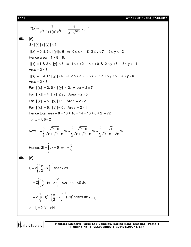[ **12** ] **WT-15 (MAIN) GRA\_07.10.2017**

$$
f'(x) = \frac{1}{e^{f(x)} + f(x)e^{f(x)}} = \frac{1}{x + e^{f(x)}} > 0
$$
\n68. (A)  
\n3 ≤ |[x]| + |[y]| ≤ 6  
\n|[x]| = 0 & 8 ≤ |[y]| ≤ 6 ⇒ 0 ≤ x < 1 & 8 ≤ y < 7, -6 ≤ y < -2  
\nHence area = 1 × 8 = 8.  
\n|[x]| = 1 & 8 ≤ |[y]| ≤ 5 ⇒ 1 ≤ x < 2, -1 ≤ x < 0 & 8, 2 ≤ y < 6, -5 ≤ y < -1  
\nArea = 2 × 8  
\n|[x]| = 2 & 8, 1 ≤ |[y]| ≤ 4 ⇒ 2 ≤ x < 3, -2 ≤ x < -1 & 8, 1 ≤ y < 5, -4 ≤ y < 0  
\nArea = 2 × 8  
\nFor |[x]| = 3, 0 ≤ |[y]| ≤ 3, Area = 2 × 7  
\nFor |[x]| = 4, |[y]| ≤ 2, Area = 2 × 5  
\nFor |[x]| = 5, |[y]| ≤ 1, Area = 2 × 3  
\nFor |[x]| = 6, |[y]| = 0, Area = 2 × 1  
\nHence total area = 8 + 16 + 16 + 14 + 10 + 6 + 2 = 72  
\n⇒ α = 7, β = 2  
\nNow, 1 =  $\int_{\frac{\pi}{9}}^{\frac{\sqrt{9-x}}{\sqrt{x} + \sqrt{9-x}}} dx = \int_{\frac{\pi}{2}}^{\frac{\sqrt{9-x}}{\sqrt{x} + \sqrt{9-x}}} dx = \int_{\frac{\pi}{2}}^{\frac{\sqrt{x}}{\sqrt{9-x} + \sqrt{x}}} dx$   
\nHence, 21 =  $\int_{\frac{\pi}{2}}^{\pi} (x - x)^{n+1} \cos nx \, dx$   
\n= 2 $\int_{0}^{\pi} (-\pi - x)^{n+1} \cos nx \, dx$   
\n= 2 $\int_{0}^{\pi} (-1)^{n+1} (\frac{\pi}{2} - x)^{n+1} (-1)^n \cos nx \, dx = -1_n$   
\n∴ 1<sub>n</sub> = 0  $\forall$  n ∈ N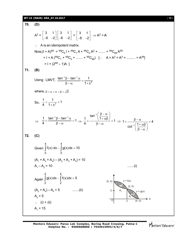**WT-15 (MAIN) GRA\_07.10.2017** [ **13** ]

70. (D)  
\n
$$
A^{2} = \begin{bmatrix} 3 & 1 \\ -6 & -2 \end{bmatrix} \begin{bmatrix} 3 & 1 \\ -6 & -2 \end{bmatrix} = \begin{bmatrix} 3 & 1 \\ -6 & -2 \end{bmatrix} \Rightarrow A^{2} = A
$$
\n∴ A is an idempotent matrix.  
\nNow,  $(1 + A)^{99} = {}^{99}C_{0}1 + {}^{99}C_{1}A + {}^{90}C_{2}A^{2} + \dots + {}^{99}C_{99}A^{99}$   
\n $= 1 + A({}^{99}C_{1} + {}^{99}C_{2} + \dots + {}^{99}C_{99})$  {∴ A = A<sup>2</sup> = A<sup>3</sup> = ....... = A<sup>99</sup>}  
\n $= 1 + (2^{99} - 1)A$ ]  
\n71. (B)  
\nUsing LMVT,  $\frac{\tan^{-1} \beta - \tan^{-1} \alpha}{\beta - \alpha} = \frac{1}{1 + c^{2}}$   
\nwhere, 0  $\alpha \alpha < c \in \beta < \sqrt{3}$   
\nSo,  $\frac{1}{4} < \frac{1}{1 + c^{2}} < 1$   
\n $\Rightarrow \frac{1}{4} < \frac{\tan^{-1} \beta - \tan^{-1} \alpha}{\beta - \alpha} < 1 \Rightarrow \frac{1}{4} < \frac{\tan^{-1}(\frac{\beta - \alpha}{1 + \alpha\beta})}{\beta - \alpha} < 1 \Rightarrow 1 < \frac{\beta - \alpha}{\cot^{-1}(\frac{1 + \alpha\beta}{\beta - \alpha})} < 4$   
\n72. (C)  
\nGiven  $\int_{0}^{4} f(x) dx = \int_{0}^{4} g(x) dx = 10$   
\n(A<sub>1</sub> + A<sub>3</sub> + A<sub>4</sub>) - (A<sub>2</sub> + A<sub>3</sub> + A<sub>4</sub>) = 10  
\nA<sub>1</sub> - A<sub>2</sub> = 10  
\nAgain  $\int_{2}^{4} g(x) dx = \int_{2}^{4} f(x) dx = 5$   
\n(A<sub>2</sub> + A<sub>3</sub>) - A<sub>4</sub> = 5  
\n(A<sub>2</sub> + A<sub>3</sub>) - A<sub>4</sub> = 5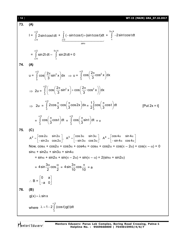73. (A)  
\n
$$
I = \int_{\pi/4}^{\pi/2} 2 \sin t \cos t dt + \int_{\pi/4}^{\pi} (-\sin t \cos t) + (\sin t \cos t) dt + \int_{\pi}^{5\pi/4} -2 \sin t \cos t dt
$$
\n
$$
= \int_{\pi/4}^{\pi/4} \sin 2t dt - \int_{\pi}^{5\pi/4} \sin 2t dt = 0
$$
\n74. (A)  
\n
$$
u = \int_{0}^{\pi/2} \cos \left( \frac{2\pi}{3} \sin^2 x \right) dx \implies u = \int_{0}^{\pi/2} \cos \left( \frac{2\pi}{3} \cos^2 x \right) dx
$$
\n
$$
\implies 2u = \int_{0}^{\pi/2} \left( \cos \left( \frac{2\pi}{3} \sin^2 x \right) + \cos \left( \frac{2\pi}{3} \cos^2 x \right) \right) dx
$$
\n
$$
\implies 2u = \int_{0}^{\pi/2} 2 \cos \frac{\pi}{3} \cos \left( \frac{\pi}{3} \cos 2x \right) dx = \frac{1}{2} \int_{0}^{\pi} \cos \left( \frac{\pi}{3} \cos t \right) dt \qquad [Put 2x = t]
$$
\n
$$
= \int_{0}^{\pi/2} \cos \left( \frac{\pi}{3} \cos t \right) dt = \int_{0}^{\pi/2} \cos \left( \frac{\pi}{3} \sin t \right) dt = v
$$
\n75. (C)  
\n
$$
A^2 = \begin{bmatrix} \cos 2\alpha & \sin 2\alpha \\ -\sin 2\alpha & \cos 2\alpha \end{bmatrix}, A^3 = \begin{bmatrix} \cos 3\alpha & \sin 3\alpha \\ -\sin 3\alpha & \cos 3\alpha \end{bmatrix}, A^4 = \begin{bmatrix} \cos 4\alpha & \sin 4\alpha \\ -\sin 4\alpha & \cos 4\alpha \end{bmatrix}
$$
\nNow,  $\cos \alpha + \cos 2\alpha + \cos 3\alpha + \cos 4\alpha = \cos \alpha + \cos 2\alpha + \cos(\pi - 2\alpha) + \cos(\pi - \alpha) = 0$   
\n $\sin \alpha + \sin 2\alpha + \sin 3\alpha + \sin 4\alpha$   
\n $= \sin \alpha + \$ 

Mentors<sup>e</sup> Eduserv-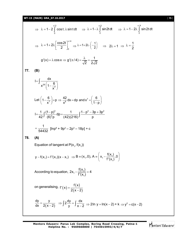**WT-15 (MAIN) GRA\_07.10.2017** [ **15** ]

$$
\Rightarrow \lambda = 1 - 2 \int_{0}^{\pi/2} \cos t \cdot \lambda \sin t dt \Rightarrow \lambda = 1 - \lambda \int_{0}^{\pi/2} \sin 2t dt \Rightarrow \lambda = 1 - 2\lambda \int_{0}^{\pi/4} \sin 2t dt
$$
  

$$
\Rightarrow \lambda = 1 + 2\lambda \left[ \frac{\cos 2t}{2} \right]_{0}^{\pi/4} \Rightarrow \lambda = 1 + 2\lambda \cdot \left( -\frac{1}{2} \right) \Rightarrow 2\lambda = 1 \Rightarrow \lambda = \frac{1}{2}
$$
  

$$
g'(x) = \lambda \cos x \Rightarrow g'(\pi/4) = \frac{\lambda}{\sqrt{2}} = \frac{1}{2\sqrt{2}}
$$
77. **(B)**  

$$
I = \int \frac{dx}{x^{29} \left( 1 - \frac{6}{x^7} \right)}
$$
  

$$
Let \left( 1 - \frac{6}{x^7} \right) = p \Rightarrow \frac{42}{x^8} dx = dp \text{ and } x^7 = \left( \frac{6}{1-p} \right)
$$
  

$$
I = \frac{1}{42} \int \frac{(1-p)^3}{(6)^3 p} dp = \frac{1}{(42)(216)} \int \frac{1-p^3 - 3p + 3p^2}{p}
$$
  

$$
= \frac{1}{54432} [\text{Inp}^6 + 9p^2 - 2p^3 - 18p] + c
$$
78. **(A)**  
Equation of tangent at P(x<sub>1</sub>, f(x<sub>1</sub>))  

$$
y - f(x_1) = f'(x_1)(x - x_1) \Rightarrow B = (x_1, 0), A = \left( x_1 - \frac{f(x_1)}{f'(x_1)}, 0 \right)
$$
  
According to equation,  $2x_1 - \frac{f(x_1)}{f'(x_1)} = 4$   
on generalising,  $f'(x) = \frac{f(x)}{2(x-2)}$   

$$
\frac{dy}{dx} = \frac{y}{2(x-2)} \Rightarrow \int 2 \frac{dy}{y} = \int \frac{dx}{x-2} \Rightarrow 2 \ln y = \ln(x-2) + k \Rightarrow y^2 = c(x-2)
$$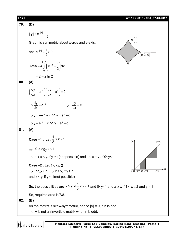

Mentors Eduserv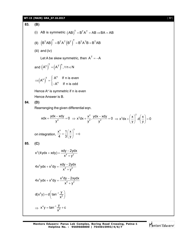**WT-15 (MAIN) GRA\_07.10.2017** [ **17** ] **83. (B)** (i) AB is symmetric  $(AB)^{T} = B^{T}A^{T} = AB \Rightarrow BA = AB$ (II)  $(B^TAB)^T = B^TA^T(B^T)^T = B^TA^TB = B^TAB$ (iii) and (iv) Let A be skew symmetric, then  $A^T = -A$ and  $(A^n)^T = (A^T)^n, \forall n \in N$  $(A^{\cdots})$  $(n)^{T}$   $\int A^{n}$  $(A^n)^T = \begin{cases} A^n & \text{if } n \text{ is even} \\ A^n & \text{if } n \text{ is odd} \end{cases}$  $A^n$  If n is odd  $\Rightarrow (A^n)^T = \begin{cases}$  $\left\lfloor -\right\rfloor$ Hence A<sup>n</sup> is symmetric if n is even Hence Answer is B. **84. (D)** Rearranging the given differential eqn.  $xdx + \frac{ydx - xdy}{y^4} = 0$ y  $+\frac{ydx-xdy}{4}=0 \Rightarrow x^3dx+\frac{x^2}{2}$  $x^3 dx + \frac{x^2}{y^2} \cdot \frac{ydx - xdy}{y^2} = 0$  $y^2$   $y^2$  $\Rightarrow$  x<sup>3</sup>dx +  $\frac{x^2}{x^2}$ .  $\frac{ydx - xdy}{x^2} = 0 \Rightarrow x^3dx + \left(\frac{x}{x}\right)^2$ .d $\left(\frac{x}{x}\right) = 0$ y J (y  $\Rightarrow$  x<sup>3</sup>dx +  $\left(\frac{x}{y}\right)^2$  d $\left(\frac{x}{y}\right)$  = 0 on integration,  $\frac{x^4}{1} + \frac{1}{2} \left( \frac{x}{1} \right)^3 = c$ 4 3 (y  $+\frac{1}{3}\left(\frac{x}{y}\right)^{6} = 0$ **85. (C)** 2  $x^{2}(4ydx + xdy) = \frac{xdy - 2ydx}{x^{4} + y^{2}}$  $x^4 + y^2$  $+ xdy = \frac{xdy ^{+}$  $2y$ dv $y^3$  $4x^2ydx + x^3dy = \frac{xdy - 2ydx}{x^4 + y^2}$  $x^4 + y^2$  $+x^3$ dy =  $\frac{xdy-}{4}$  $\ddot{}$  $3y$ dv  $x^4$ dv  $x^2$  $4x^3ydx + x^4dy = \frac{x^2dy - 2xydx}{x^4 + x^2}$  $x^4 + y^2$  $+ x^4 dy = \frac{x^2 dy ^{+}$  $4v = d \tan^{-1}$ 2  $d(x^4y) = d \int \tan^{-1} \frac{y}{x^2}$ x  $= d \left( \tan^{-1} \frac{y}{x^2} \right)$  $\Rightarrow$   $x^4y = \tan^{-1}$ 2  $x^4y = \tan^{-1} \frac{y}{2} + c$ x = tan<sup>-1</sup>  $\frac{y}{2}$  + 0

Mentors Eduserv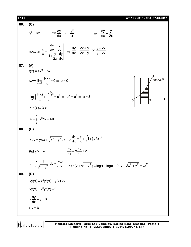[ **18** ] **WT-15 (MAIN) GRA\_07.10.2017 86. (C)** 2 <sup>2</sup> dy y y kx 2y. k dx x dy y dx 2x now, dy y dx 2x tan <sup>4</sup> y dy 1 . 2x dx dy 2x y y 2x or dx 2x y y 2x **87. (A)** f(x) = ax3 + bx Now x 0 f(x) lim 0 b 0 x 0 1 3 f(x)=3x3 2 1 x 3 a 3 x 0 f(x) lim 1 e e e a 3 x <sup>3</sup> f(x) 3 x 3 3 1 A 3x dx 60 **88. (C)** 2 2 x dy ydx x y dx dy y 2 1 y / x dx x Put y/x = v dy dv x v dx dx <sup>2</sup> 1 dx dv x 1 v <sup>2</sup> n(v 1 v ) logx logc 2 2 2 y x y cx **89. (D)** 2 xy(x) x y '(x) y(x).2x 2 xy(x) x y '(x) 0 dy x y 0 dx x y = 6